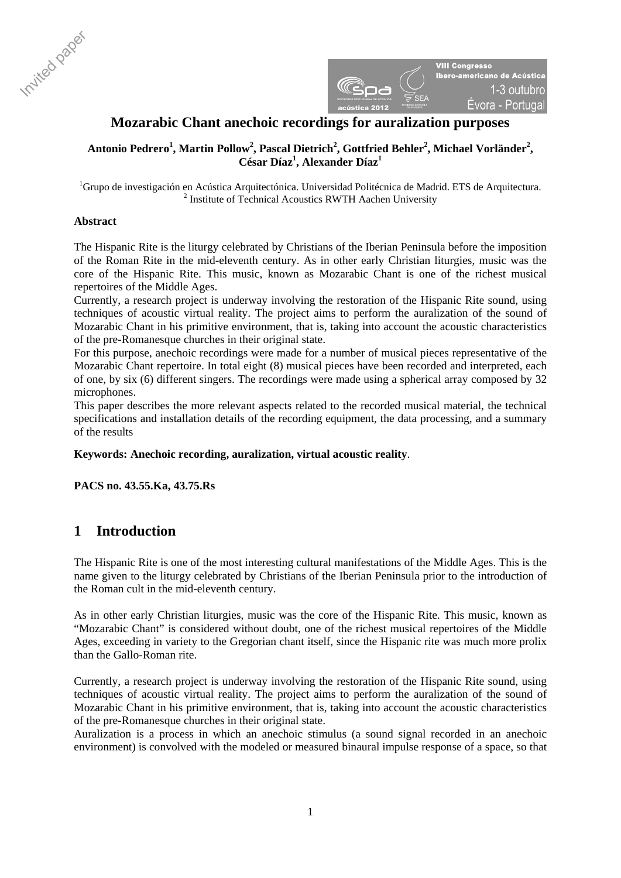



# **Mozarabic Chant anechoic recordings for auralization purposes**

## $\Lambda$ ntonio Pedrero $^1$ , Martin Pollow $^2$ , Pascal Dietrich $^2$ , Gottfried Behler $^2$ , Michael Vorländer $^2$ , **César Díaz1 , Alexander Díaz1**

<sup>1</sup>Grupo de investigación en Acústica Arquitectónica. Universidad Politécnica de Madrid. ETS de Arquitectura. <sup>2</sup> Institute of Technical Acoustics RWTH Aachen University

### **Abstract**

The Hispanic Rite is the liturgy celebrated by Christians of the Iberian Peninsula before the imposition of the Roman Rite in the mid-eleventh century. As in other early Christian liturgies, music was the core of the Hispanic Rite. This music, known as Mozarabic Chant is one of the richest musical repertoires of the Middle Ages.

Currently, a research project is underway involving the restoration of the Hispanic Rite sound, using techniques of acoustic virtual reality. The project aims to perform the auralization of the sound of Mozarabic Chant in his primitive environment, that is, taking into account the acoustic characteristics of the pre-Romanesque churches in their original state.

For this purpose, anechoic recordings were made for a number of musical pieces representative of the Mozarabic Chant repertoire. In total eight (8) musical pieces have been recorded and interpreted, each of one, by six (6) different singers. The recordings were made using a spherical array composed by 32 microphones.

This paper describes the more relevant aspects related to the recorded musical material, the technical specifications and installation details of the recording equipment, the data processing, and a summary of the results

### **Keywords: Anechoic recording, auralization, virtual acoustic reality**.

**PACS no. 43.55.Ka, 43.75.Rs** 

# **1 Introduction**

The Hispanic Rite is one of the most interesting cultural manifestations of the Middle Ages. This is the name given to the liturgy celebrated by Christians of the Iberian Peninsula prior to the introduction of the Roman cult in the mid-eleventh century.

As in other early Christian liturgies, music was the core of the Hispanic Rite. This music, known as "Mozarabic Chant" is considered without doubt, one of the richest musical repertoires of the Middle Ages, exceeding in variety to the Gregorian chant itself, since the Hispanic rite was much more prolix than the Gallo-Roman rite.

Currently, a research project is underway involving the restoration of the Hispanic Rite sound, using techniques of acoustic virtual reality. The project aims to perform the auralization of the sound of Mozarabic Chant in his primitive environment, that is, taking into account the acoustic characteristics of the pre-Romanesque churches in their original state.

Auralization is a process in which an anechoic stimulus (a sound signal recorded in an anechoic environment) is convolved with the modeled or measured binaural impulse response of a space, so that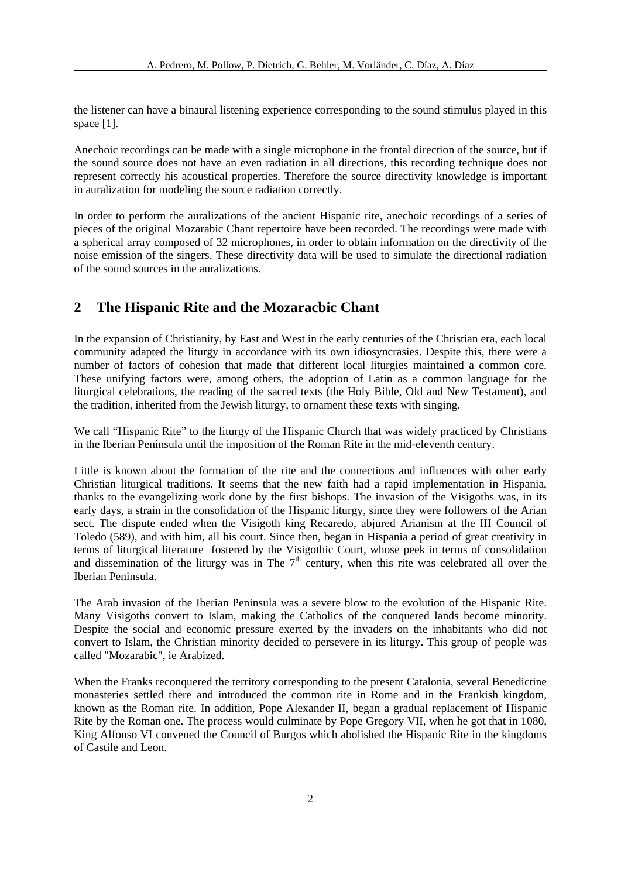the listener can have a binaural listening experience corresponding to the sound stimulus played in this space [1].

Anechoic recordings can be made with a single microphone in the frontal direction of the source, but if the sound source does not have an even radiation in all directions, this recording technique does not represent correctly his acoustical properties. Therefore the source directivity knowledge is important in auralization for modeling the source radiation correctly.

In order to perform the auralizations of the ancient Hispanic rite, anechoic recordings of a series of pieces of the original Mozarabic Chant repertoire have been recorded. The recordings were made with a spherical array composed of 32 microphones, in order to obtain information on the directivity of the noise emission of the singers. These directivity data will be used to simulate the directional radiation of the sound sources in the auralizations.

# **2 The Hispanic Rite and the Mozaracbic Chant**

In the expansion of Christianity, by East and West in the early centuries of the Christian era, each local community adapted the liturgy in accordance with its own idiosyncrasies. Despite this, there were a number of factors of cohesion that made that different local liturgies maintained a common core. These unifying factors were, among others, the adoption of Latin as a common language for the liturgical celebrations, the reading of the sacred texts (the Holy Bible, Old and New Testament), and the tradition, inherited from the Jewish liturgy, to ornament these texts with singing.

We call "Hispanic Rite" to the liturgy of the Hispanic Church that was widely practiced by Christians in the Iberian Peninsula until the imposition of the Roman Rite in the mid-eleventh century.

Little is known about the formation of the rite and the connections and influences with other early Christian liturgical traditions. It seems that the new faith had a rapid implementation in Hispania, thanks to the evangelizing work done by the first bishops. The invasion of the Visigoths was, in its early days, a strain in the consolidation of the Hispanic liturgy, since they were followers of the Arian sect. The dispute ended when the Visigoth king Recaredo, abjured Arianism at the III Council of Toledo (589), and with him, all his court. Since then, began in Hispania a period of great creativity in terms of liturgical literature fostered by the Visigothic Court, whose peek in terms of consolidation and dissemination of the liturgy was in The  $7<sup>th</sup>$  century, when this rite was celebrated all over the Iberian Peninsula.

The Arab invasion of the Iberian Peninsula was a severe blow to the evolution of the Hispanic Rite. Many Visigoths convert to Islam, making the Catholics of the conquered lands become minority. Despite the social and economic pressure exerted by the invaders on the inhabitants who did not convert to Islam, the Christian minority decided to persevere in its liturgy. This group of people was called "Mozarabic", ie Arabized.

When the Franks reconquered the territory corresponding to the present Catalonia, several Benedictine monasteries settled there and introduced the common rite in Rome and in the Frankish kingdom, known as the Roman rite. In addition, Pope Alexander II, began a gradual replacement of Hispanic Rite by the Roman one. The process would culminate by Pope Gregory VII, when he got that in 1080, King Alfonso VI convened the Council of Burgos which abolished the Hispanic Rite in the kingdoms of Castile and Leon.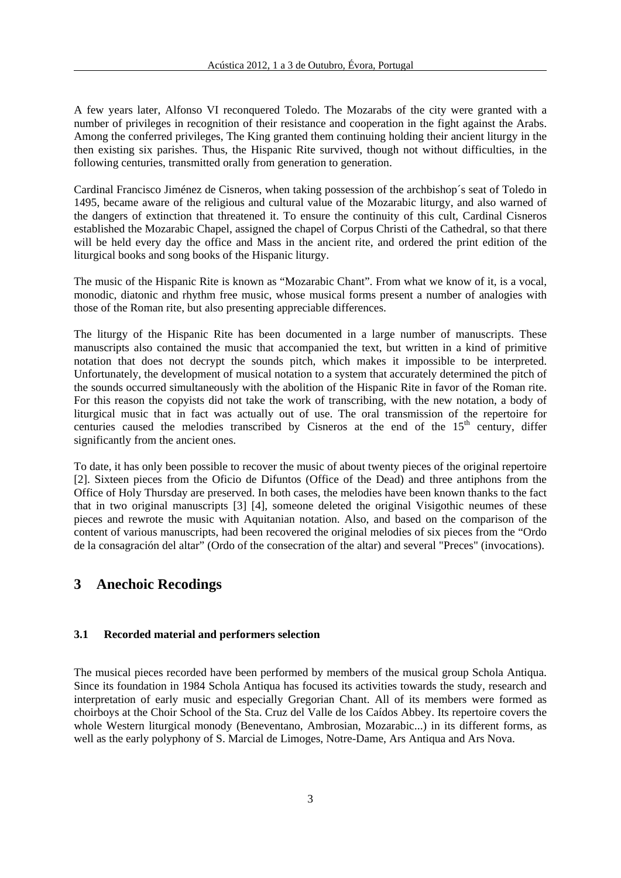A few years later, Alfonso VI reconquered Toledo. The Mozarabs of the city were granted with a number of privileges in recognition of their resistance and cooperation in the fight against the Arabs. Among the conferred privileges, The King granted them continuing holding their ancient liturgy in the then existing six parishes. Thus, the Hispanic Rite survived, though not without difficulties, in the following centuries, transmitted orally from generation to generation.

Cardinal Francisco Jiménez de Cisneros, when taking possession of the archbishop´s seat of Toledo in 1495, became aware of the religious and cultural value of the Mozarabic liturgy, and also warned of the dangers of extinction that threatened it. To ensure the continuity of this cult, Cardinal Cisneros established the Mozarabic Chapel, assigned the chapel of Corpus Christi of the Cathedral, so that there will be held every day the office and Mass in the ancient rite, and ordered the print edition of the liturgical books and song books of the Hispanic liturgy.

The music of the Hispanic Rite is known as "Mozarabic Chant". From what we know of it, is a vocal, monodic, diatonic and rhythm free music, whose musical forms present a number of analogies with those of the Roman rite, but also presenting appreciable differences.

The liturgy of the Hispanic Rite has been documented in a large number of manuscripts. These manuscripts also contained the music that accompanied the text, but written in a kind of primitive notation that does not decrypt the sounds pitch, which makes it impossible to be interpreted. Unfortunately, the development of musical notation to a system that accurately determined the pitch of the sounds occurred simultaneously with the abolition of the Hispanic Rite in favor of the Roman rite. For this reason the copyists did not take the work of transcribing, with the new notation, a body of liturgical music that in fact was actually out of use. The oral transmission of the repertoire for centuries caused the melodies transcribed by Cisneros at the end of the  $15<sup>th</sup>$  century, differ significantly from the ancient ones.

To date, it has only been possible to recover the music of about twenty pieces of the original repertoire [2]. Sixteen pieces from the Oficio de Difuntos (Office of the Dead) and three antiphons from the Office of Holy Thursday are preserved. In both cases, the melodies have been known thanks to the fact that in two original manuscripts [3] [4], someone deleted the original Visigothic neumes of these pieces and rewrote the music with Aquitanian notation. Also, and based on the comparison of the content of various manuscripts, had been recovered the original melodies of six pieces from the "Ordo de la consagración del altar" (Ordo of the consecration of the altar) and several "Preces" (invocations).

# **3 Anechoic Recodings**

#### **3.1 Recorded material and performers selection**

The musical pieces recorded have been performed by members of the musical group Schola Antiqua. Since its foundation in 1984 Schola Antiqua has focused its activities towards the study, research and interpretation of early music and especially Gregorian Chant. All of its members were formed as choirboys at the Choir School of the Sta. Cruz del Valle de los Caídos Abbey. Its repertoire covers the whole Western liturgical monody (Beneventano, Ambrosian, Mozarabic...) in its different forms, as well as the early polyphony of S. Marcial de Limoges, Notre-Dame, Ars Antiqua and Ars Nova.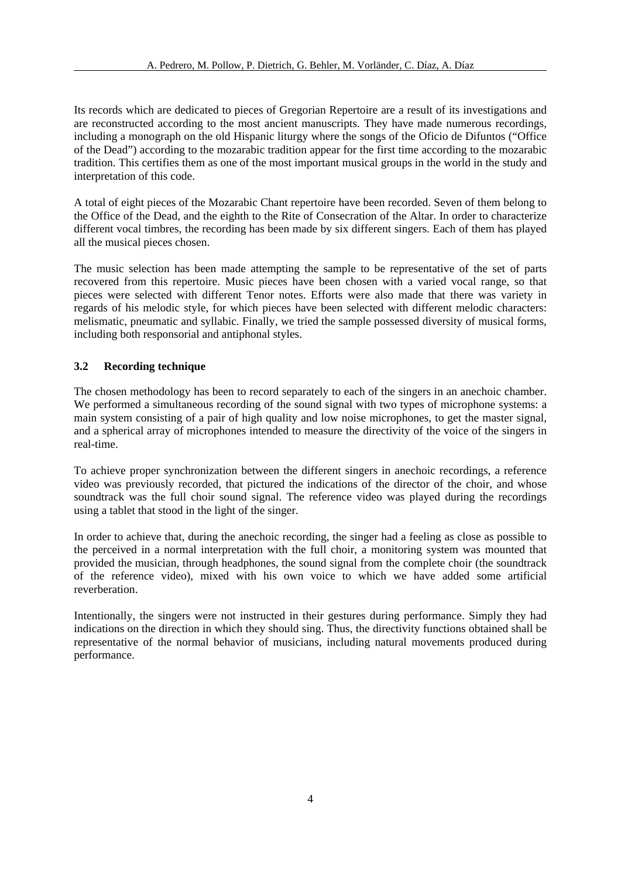Its records which are dedicated to pieces of Gregorian Repertoire are a result of its investigations and are reconstructed according to the most ancient manuscripts. They have made numerous recordings, including a monograph on the old Hispanic liturgy where the songs of the Oficio de Difuntos ("Office of the Dead") according to the mozarabic tradition appear for the first time according to the mozarabic tradition. This certifies them as one of the most important musical groups in the world in the study and interpretation of this code.

A total of eight pieces of the Mozarabic Chant repertoire have been recorded. Seven of them belong to the Office of the Dead, and the eighth to the Rite of Consecration of the Altar. In order to characterize different vocal timbres, the recording has been made by six different singers. Each of them has played all the musical pieces chosen.

The music selection has been made attempting the sample to be representative of the set of parts recovered from this repertoire. Music pieces have been chosen with a varied vocal range, so that pieces were selected with different Tenor notes. Efforts were also made that there was variety in regards of his melodic style, for which pieces have been selected with different melodic characters: melismatic, pneumatic and syllabic. Finally, we tried the sample possessed diversity of musical forms, including both responsorial and antiphonal styles.

### **3.2 Recording technique**

The chosen methodology has been to record separately to each of the singers in an anechoic chamber. We performed a simultaneous recording of the sound signal with two types of microphone systems: a main system consisting of a pair of high quality and low noise microphones, to get the master signal, and a spherical array of microphones intended to measure the directivity of the voice of the singers in real-time.

To achieve proper synchronization between the different singers in anechoic recordings, a reference video was previously recorded, that pictured the indications of the director of the choir, and whose soundtrack was the full choir sound signal. The reference video was played during the recordings using a tablet that stood in the light of the singer.

In order to achieve that, during the anechoic recording, the singer had a feeling as close as possible to the perceived in a normal interpretation with the full choir, a monitoring system was mounted that provided the musician, through headphones, the sound signal from the complete choir (the soundtrack of the reference video), mixed with his own voice to which we have added some artificial reverberation.

Intentionally, the singers were not instructed in their gestures during performance. Simply they had indications on the direction in which they should sing. Thus, the directivity functions obtained shall be representative of the normal behavior of musicians, including natural movements produced during performance.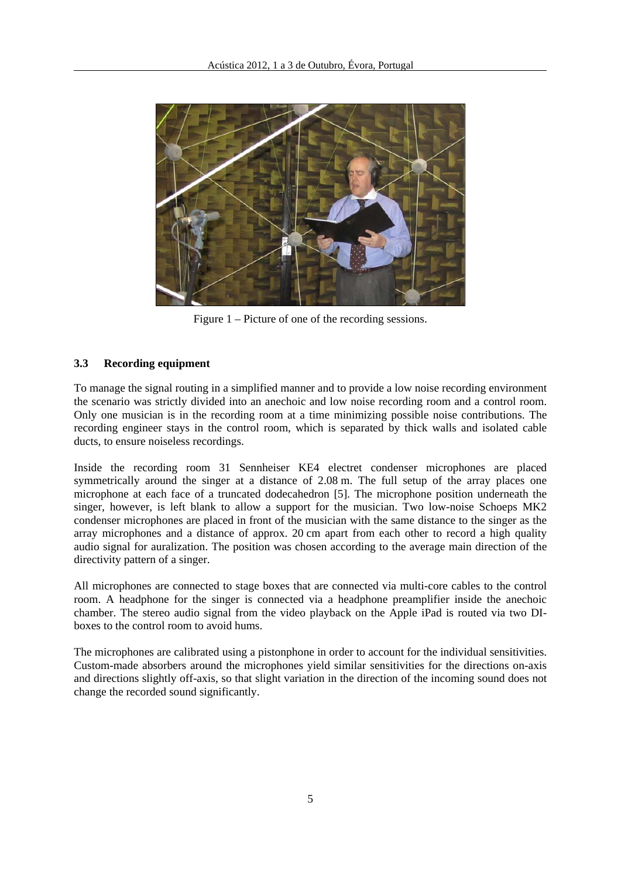

Figure 1 – Picture of one of the recording sessions.

## **3.3 Recording equipment**

To manage the signal routing in a simplified manner and to provide a low noise recording environment the scenario was strictly divided into an anechoic and low noise recording room and a control room. Only one musician is in the recording room at a time minimizing possible noise contributions. The recording engineer stays in the control room, which is separated by thick walls and isolated cable ducts, to ensure noiseless recordings.

Inside the recording room 31 Sennheiser KE4 electret condenser microphones are placed symmetrically around the singer at a distance of 2.08 m. The full setup of the array places one microphone at each face of a truncated dodecahedron [5]. The microphone position underneath the singer, however, is left blank to allow a support for the musician. Two low-noise Schoeps MK2 condenser microphones are placed in front of the musician with the same distance to the singer as the array microphones and a distance of approx. 20 cm apart from each other to record a high quality audio signal for auralization. The position was chosen according to the average main direction of the directivity pattern of a singer.

All microphones are connected to stage boxes that are connected via multi-core cables to the control room. A headphone for the singer is connected via a headphone preamplifier inside the anechoic chamber. The stereo audio signal from the video playback on the Apple iPad is routed via two DIboxes to the control room to avoid hums.

The microphones are calibrated using a pistonphone in order to account for the individual sensitivities. Custom-made absorbers around the microphones yield similar sensitivities for the directions on-axis and directions slightly off-axis, so that slight variation in the direction of the incoming sound does not change the recorded sound significantly.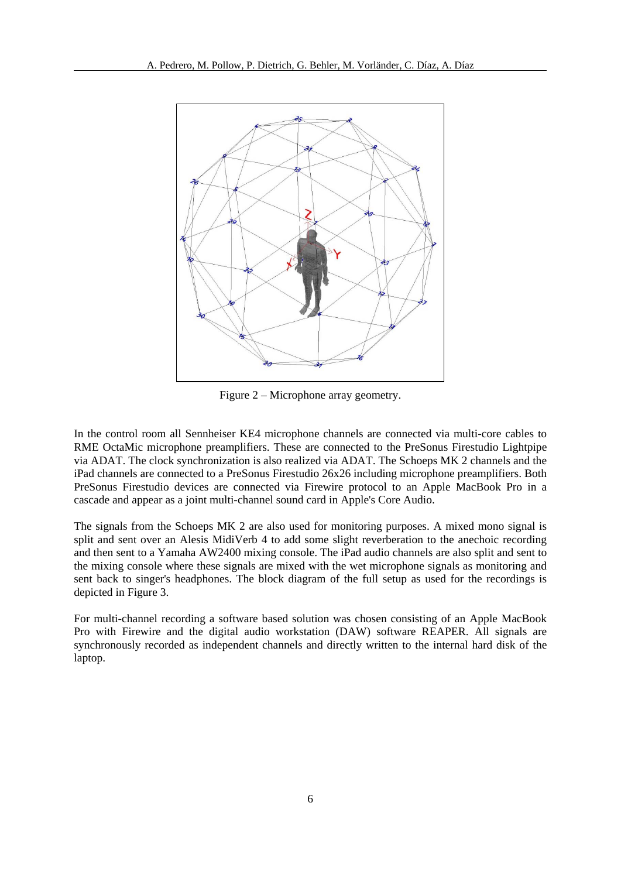

Figure 2 – Microphone array geometry.

In the control room all Sennheiser KE4 microphone channels are connected via multi-core cables to RME OctaMic microphone preamplifiers. These are connected to the PreSonus Firestudio Lightpipe via ADAT. The clock synchronization is also realized via ADAT. The Schoeps MK 2 channels and the iPad channels are connected to a PreSonus Firestudio 26x26 including microphone preamplifiers. Both PreSonus Firestudio devices are connected via Firewire protocol to an Apple MacBook Pro in a cascade and appear as a joint multi-channel sound card in Apple's Core Audio.

The signals from the Schoeps MK 2 are also used for monitoring purposes. A mixed mono signal is split and sent over an Alesis MidiVerb 4 to add some slight reverberation to the anechoic recording and then sent to a Yamaha AW2400 mixing console. The iPad audio channels are also split and sent to the mixing console where these signals are mixed with the wet microphone signals as monitoring and sent back to singer's headphones. The block diagram of the full setup as used for the recordings is depicted in Figure 3.

For multi-channel recording a software based solution was chosen consisting of an Apple MacBook Pro with Firewire and the digital audio workstation (DAW) software REAPER. All signals are synchronously recorded as independent channels and directly written to the internal hard disk of the laptop.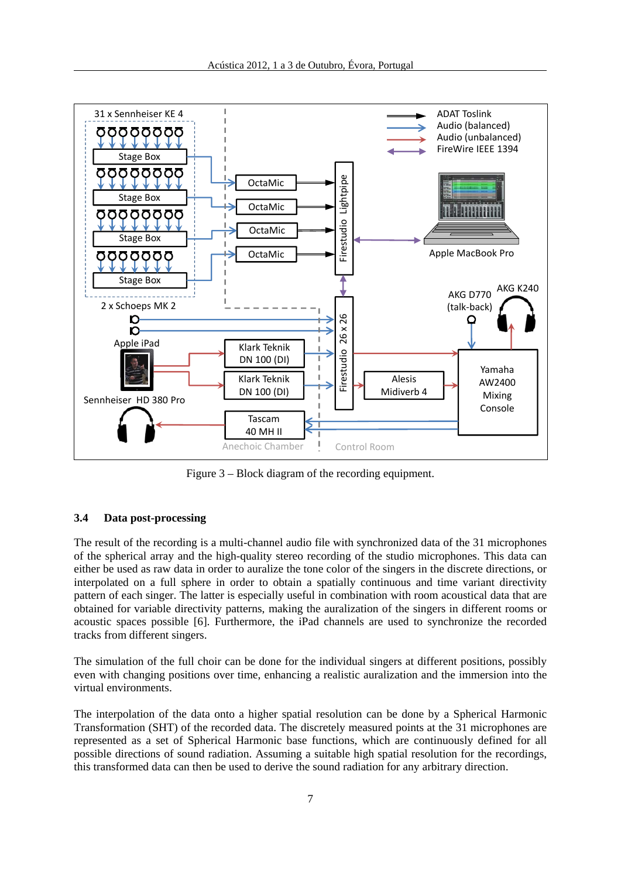

Figure 3 – Block diagram of the recording equipment.

### **3.4 Data post-processing**

The result of the recording is a multi-channel audio file with synchronized data of the 31 microphones of the spherical array and the high-quality stereo recording of the studio microphones. This data can either be used as raw data in order to auralize the tone color of the singers in the discrete directions, or interpolated on a full sphere in order to obtain a spatially continuous and time variant directivity pattern of each singer. The latter is especially useful in combination with room acoustical data that are obtained for variable directivity patterns, making the auralization of the singers in different rooms or acoustic spaces possible [6]. Furthermore, the iPad channels are used to synchronize the recorded tracks from different singers.

The simulation of the full choir can be done for the individual singers at different positions, possibly even with changing positions over time, enhancing a realistic auralization and the immersion into the virtual environments.

The interpolation of the data onto a higher spatial resolution can be done by a Spherical Harmonic Transformation (SHT) of the recorded data. The discretely measured points at the 31 microphones are represented as a set of Spherical Harmonic base functions, which are continuously defined for all possible directions of sound radiation. Assuming a suitable high spatial resolution for the recordings, this transformed data can then be used to derive the sound radiation for any arbitrary direction.